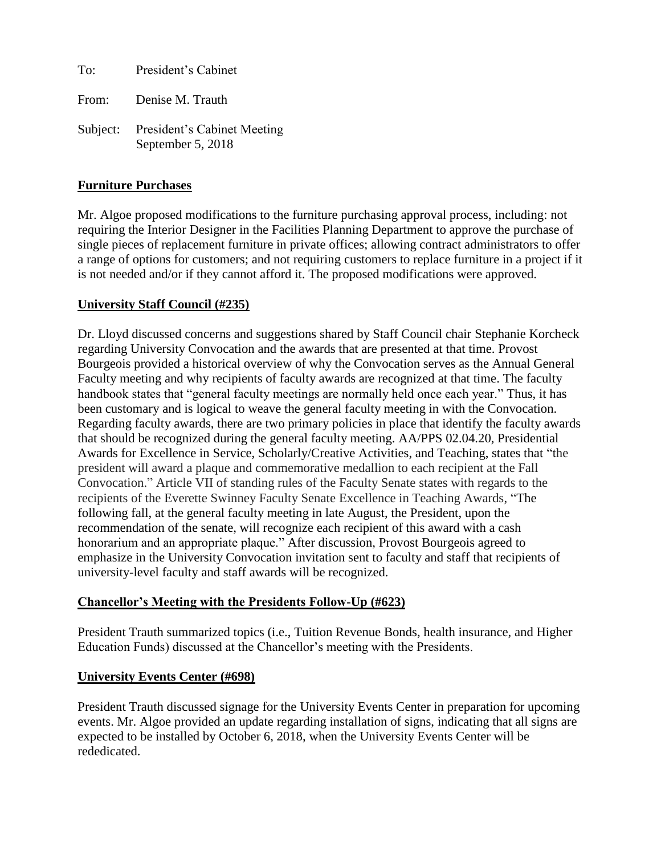To: President's Cabinet

From: Denise M. Trauth

Subject: President's Cabinet Meeting September 5, 2018

### **Furniture Purchases**

Mr. Algoe proposed modifications to the furniture purchasing approval process, including: not requiring the Interior Designer in the Facilities Planning Department to approve the purchase of single pieces of replacement furniture in private offices; allowing contract administrators to offer a range of options for customers; and not requiring customers to replace furniture in a project if it is not needed and/or if they cannot afford it. The proposed modifications were approved.

### **University Staff Council (#235)**

Dr. Lloyd discussed concerns and suggestions shared by Staff Council chair Stephanie Korcheck regarding University Convocation and the awards that are presented at that time. Provost Bourgeois provided a historical overview of why the Convocation serves as the Annual General Faculty meeting and why recipients of faculty awards are recognized at that time. The faculty handbook states that "general faculty meetings are normally held once each year." Thus, it has been customary and is logical to weave the general faculty meeting in with the Convocation. Regarding faculty awards, there are two primary policies in place that identify the faculty awards that should be recognized during the general faculty meeting. AA/PPS 02.04.20, Presidential Awards for Excellence in Service, Scholarly/Creative Activities, and Teaching, states that "the president will award a plaque and commemorative medallion to each recipient at the Fall Convocation." Article VII of standing rules of the Faculty Senate states with regards to the recipients of the Everette Swinney Faculty Senate Excellence in Teaching Awards, "The following fall, at the general faculty meeting in late August, the President, upon the recommendation of the senate, will recognize each recipient of this award with a cash honorarium and an appropriate plaque." After discussion, Provost Bourgeois agreed to emphasize in the University Convocation invitation sent to faculty and staff that recipients of university-level faculty and staff awards will be recognized.

# **Chancellor's Meeting with the Presidents Follow-Up (#623)**

President Trauth summarized topics (i.e., Tuition Revenue Bonds, health insurance, and Higher Education Funds) discussed at the Chancellor's meeting with the Presidents.

# **University Events Center (#698)**

President Trauth discussed signage for the University Events Center in preparation for upcoming events. Mr. Algoe provided an update regarding installation of signs, indicating that all signs are expected to be installed by October 6, 2018, when the University Events Center will be rededicated.